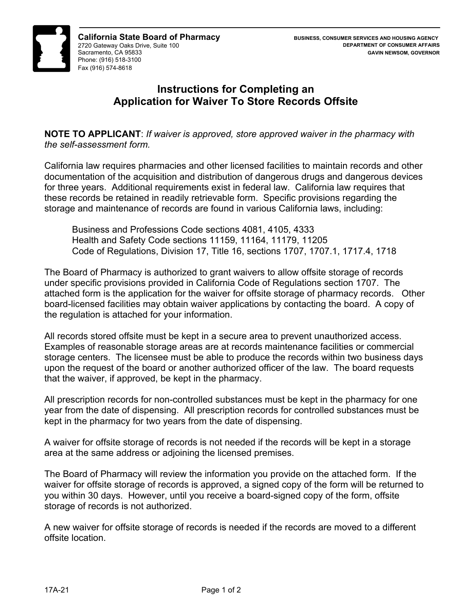

## **Instructions for Completing an Application for Waiver To Store Records Offsite**

**NOTE TO APPLICANT**: *If waiver is approved, store approved waiver in the pharmacy with the self-assessment form.* 

California law requires pharmacies and other licensed facilities to maintain records and other documentation of the acquisition and distribution of dangerous drugs and dangerous devices for three years. Additional requirements exist in federal law. California law requires that these records be retained in readily retrievable form. Specific provisions regarding the storage and maintenance of records are found in various California laws, including:

Business and Professions Code sections 4081, 4105, 4333 Health and Safety Code sections 11159, 11164, 11179, 11205 Code of Regulations, Division 17, Title 16, sections 1707, 1707.1, 1717.4, 1718

The Board of Pharmacy is authorized to grant waivers to allow offsite storage of records under specific provisions provided in California Code of Regulations section 1707. The attached form is the application for the waiver for offsite storage of pharmacy records. Other board-licensed facilities may obtain waiver applications by contacting the board. A copy of the regulation is attached for your information.

All records stored offsite must be kept in a secure area to prevent unauthorized access. Examples of reasonable storage areas are at records maintenance facilities or commercial storage centers. The licensee must be able to produce the records within two business days upon the request of the board or another authorized officer of the law. The board requests that the waiver, if approved, be kept in the pharmacy.

All prescription records for non-controlled substances must be kept in the pharmacy for one year from the date of dispensing. All prescription records for controlled substances must be kept in the pharmacy for two years from the date of dispensing.

A waiver for offsite storage of records is not needed if the records will be kept in a storage area at the same address or adjoining the licensed premises.

The Board of Pharmacy will review the information you provide on the attached form. If the waiver for offsite storage of records is approved, a signed copy of the form will be returned to you within 30 days. However, until you receive a board-signed copy of the form, offsite storage of records is not authorized.

A new waiver for offsite storage of records is needed if the records are moved to a different offsite location.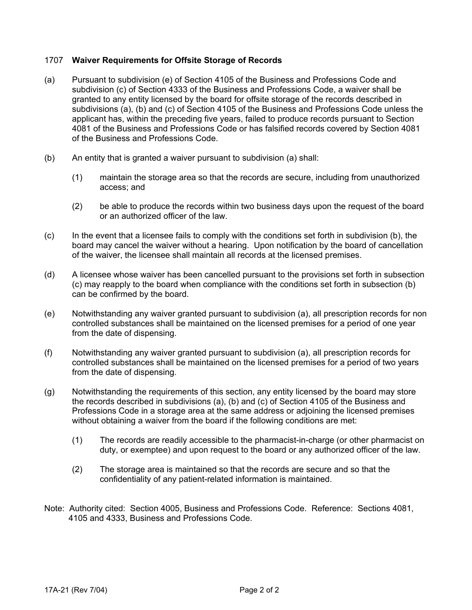## 1707 **Waiver Requirements for Offsite Storage of Records**

- (a) Pursuant to subdivision (e) of Section 4105 of the Business and Professions Code and subdivision (c) of Section 4333 of the Business and Professions Code, a waiver shall be granted to any entity licensed by the board for offsite storage of the records described in subdivisions (a), (b) and (c) of Section 4105 of the Business and Professions Code unless the applicant has, within the preceding five years, failed to produce records pursuant to Section 4081 of the Business and Professions Code or has falsified records covered by Section 4081 of the Business and Professions Code.
- (b) An entity that is granted a waiver pursuant to subdivision (a) shall:
	- (1) maintain the storage area so that the records are secure, including from unauthorized access; and
	- (2) be able to produce the records within two business days upon the request of the board or an authorized officer of the law.
- (c) In the event that a licensee fails to comply with the conditions set forth in subdivision (b), the board may cancel the waiver without a hearing. Upon notification by the board of cancellation of the waiver, the licensee shall maintain all records at the licensed premises.
- (d) A licensee whose waiver has been cancelled pursuant to the provisions set forth in subsection (c) may reapply to the board when compliance with the conditions set forth in subsection (b) can be confirmed by the board.
- (e) Notwithstanding any waiver granted pursuant to subdivision (a), all prescription records for non controlled substances shall be maintained on the licensed premises for a period of one year from the date of dispensing.
- (f) Notwithstanding any waiver granted pursuant to subdivision (a), all prescription records for controlled substances shall be maintained on the licensed premises for a period of two years from the date of dispensing.
- (g) Notwithstanding the requirements of this section, any entity licensed by the board may store the records described in subdivisions (a), (b) and (c) of Section 4105 of the Business and Professions Code in a storage area at the same address or adjoining the licensed premises without obtaining a waiver from the board if the following conditions are met:
	- (1) The records are readily accessible to the pharmacist-in-charge (or other pharmacist on duty, or exemptee) and upon request to the board or any authorized officer of the law.
	- (2) The storage area is maintained so that the records are secure and so that the confidentiality of any patient-related information is maintained.
- Note: Authority cited: Section 4005, Business and Professions Code. Reference: Sections 4081, 4105 and 4333, Business and Professions Code.